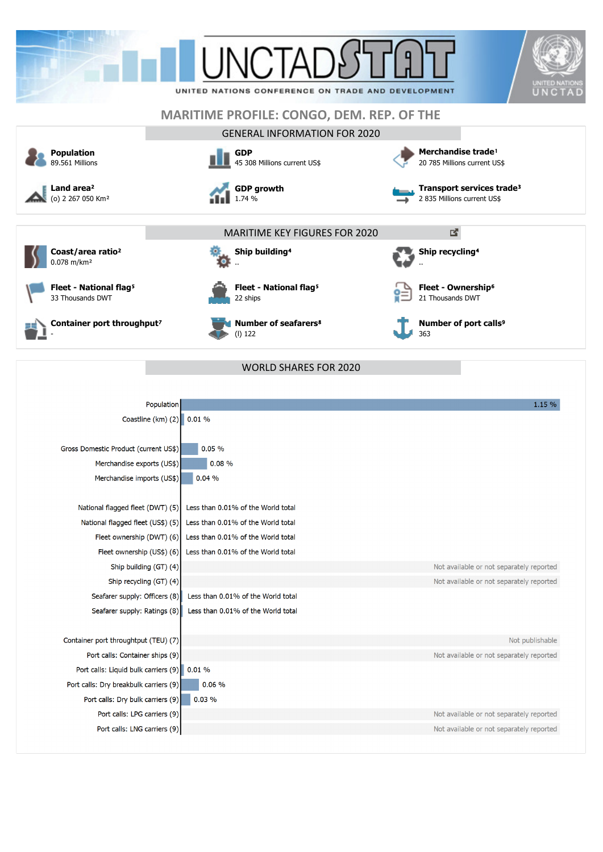

| Population                                                              | 1.15 %                                   |
|-------------------------------------------------------------------------|------------------------------------------|
| Coastline (km) $(2)$<br>0.01%                                           |                                          |
|                                                                         |                                          |
| 0.05%<br>Gross Domestic Product (current US\$)                          |                                          |
| 0.08%<br>Merchandise exports (US\$)                                     |                                          |
| Merchandise imports (US\$)<br>0.04%                                     |                                          |
|                                                                         |                                          |
| Less than 0.01% of the World total<br>National flagged fleet (DWT) (5)  |                                          |
| National flagged fleet (US\$) (5)<br>Less than 0.01% of the World total |                                          |
| Fleet ownership (DWT) (6)<br>Less than 0.01% of the World total         |                                          |
| Less than 0.01% of the World total<br>Fleet ownership (US\$) (6)        |                                          |
| Ship building (GT) (4)                                                  | Not available or not separately reported |
| Ship recycling (GT) (4)                                                 | Not available or not separately reported |
| Less than 0.01% of the World total<br>Seafarer supply: Officers (8)     |                                          |
| Seafarer supply: Ratings (8)<br>Less than 0.01% of the World total      |                                          |
|                                                                         |                                          |
| Container port throughtput (TEU) (7)                                    | Not publishable                          |
| Port calls: Container ships (9)                                         | Not available or not separately reported |
| Port calls: Liquid bulk carriers (9)<br>0.01%                           |                                          |
| 0.06%<br>Port calls: Dry breakbulk carriers (9)                         |                                          |
| Port calls: Dry bulk carriers (9)<br>0.03%                              |                                          |
| Port calls: LPG carriers (9)                                            | Not available or not separately reported |
| Port calls: LNG carriers (9)                                            | Not available or not separately reported |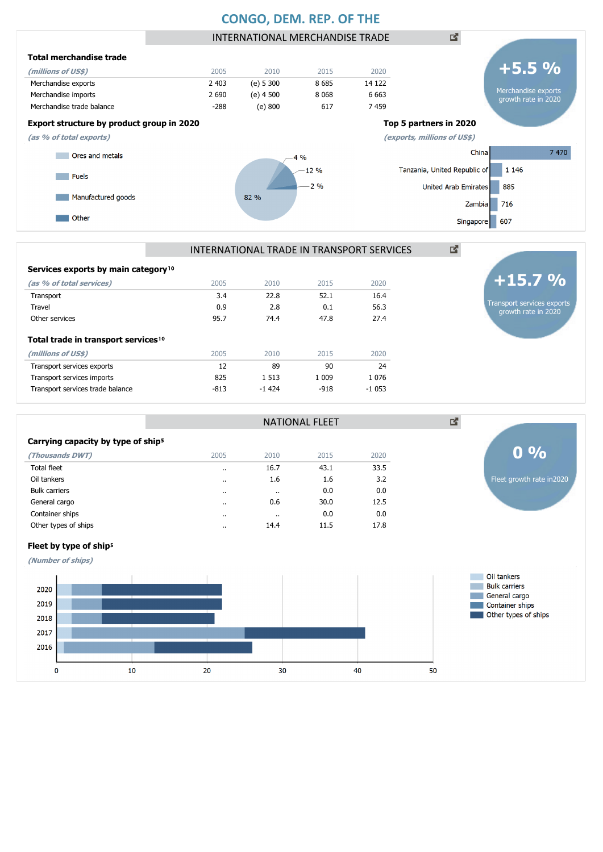## **CONGO, DEM. REP. OF THE**



#### INTERNATIONAL TRADE IN TRANSPORT SERVICES

| Services exports by main category <sup>10</sup> |        |         |        |         |
|-------------------------------------------------|--------|---------|--------|---------|
| (as % of total services)                        | 2005   | 2010    | 2015   | 2020    |
| Transport                                       | 3.4    | 22.8    | 52.1   | 16.4    |
| Travel                                          | 0.9    | 2.8     | 0.1    | 56.3    |
| Other services                                  | 95.7   | 74.4    | 47.8   | 27.4    |
| Total trade in transport services <sup>10</sup> |        |         |        |         |
| (millions of US\$)                              | 2005   | 2010    | 2015   | 2020    |
| Transport services exports                      | 12     | 89      | 90     | 24      |
| Transport services imports                      | 825    | 1 5 1 3 | 1 009  | 1 0 7 6 |
| Transport services trade balance                | $-813$ | $-1424$ | $-918$ | $-1053$ |
|                                                 |        |         |        |         |



図

|                                                                                                                                                    |                                 |         | <b>NATIONAL FLEET</b> |                                 | ⊠                                   |                           |
|----------------------------------------------------------------------------------------------------------------------------------------------------|---------------------------------|---------|-----------------------|---------------------------------|-------------------------------------|---------------------------|
| Carrying capacity by type of ship <sup>5</sup>                                                                                                     |                                 |         |                       |                                 |                                     |                           |
| (Thousands DWT)                                                                                                                                    | 2005                            | 2010    | 2015                  | 2020                            |                                     | $0\%$                     |
| Total fleet                                                                                                                                        | $\cdots$                        | 16.7    | 43.1                  | 33.5                            |                                     |                           |
| Oil tankers                                                                                                                                        | $\cdots$                        | 1.6     | 1.6                   | 3.2                             |                                     | Fleet growth rate in 2020 |
| <b>Bulk carriers</b>                                                                                                                               | $\cdots$                        | $\cdot$ | 0.0                   | 0.0                             |                                     |                           |
| General cargo                                                                                                                                      | $\cdots$                        | 0.6     | 30.0                  | 12.5                            |                                     |                           |
| Container ships                                                                                                                                    | $\cdot$                         | $\cdot$ | 0.0                   | 0.0                             |                                     |                           |
| Other types of ships                                                                                                                               | $\cdot$                         | 14.4    | 11.5                  | 17.8                            |                                     |                           |
| Fleet by type of ship <sup>5</sup>                                                                                                                 |                                 |         |                       |                                 |                                     |                           |
| (Number of ships)                                                                                                                                  |                                 |         |                       |                                 |                                     |                           |
| the contract of the contract of the contract of the contract of the contract of the contract of the contract of<br>the contract of the contract of | the contract of the contract of |         |                       | the contract of the contract of | the state of the state of the state | Oil tankers               |

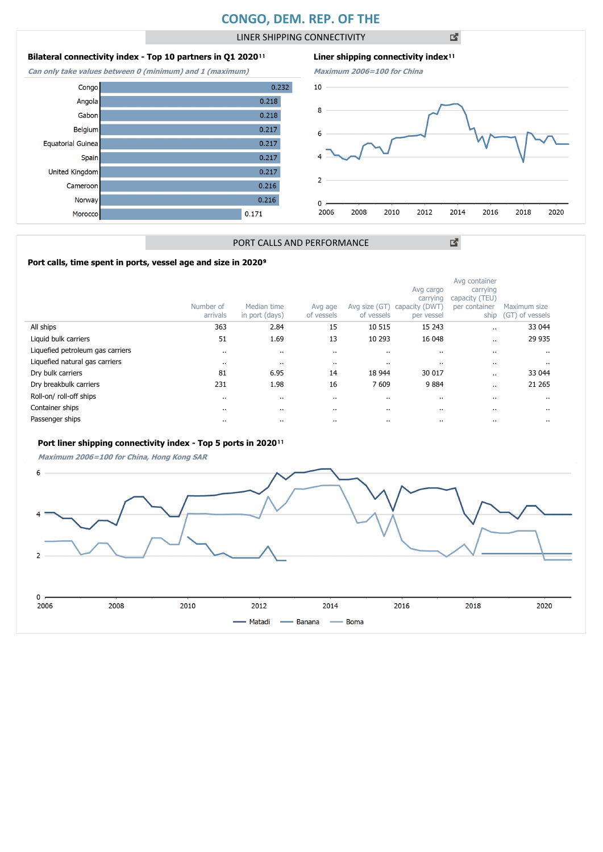# **CONGO, DEM. REP. OF THE**

LINER SHIPPING CONNECTIVITY

凶

## **Bilateral connectivity index - Top 10 partners in Q1 2020**<sup>11</sup>

**Can only take values between 0 (minimum) and 1 (maximum)**

| Congo             |       | 0.232 |  |
|-------------------|-------|-------|--|
| Angola            | 0.218 |       |  |
| Gabon             | 0.218 |       |  |
| Belgium           | 0.217 |       |  |
| Equatorial Guinea | 0.217 |       |  |
| Spain             | 0.217 |       |  |
| United Kingdom    | 0.217 |       |  |
| Cameroon          | 0.216 |       |  |
| Norway            | 0.216 |       |  |
| Moroccol          | 0.171 |       |  |



図

### PORT CALLS AND PERFORMANCE

### Port calls, time spent in ports, vessel age and size in 2020<sup>9</sup>

|                                  | Number of<br>arrivals | Median time<br>in port (days) | Avg age<br>of vessels | Avg size (GT)<br>of vessels | Avg cargo<br>carrying<br>capacity (DWT)<br>per vessel | Avg container<br>carrying<br>capacity (TEU)<br>per container<br>ship | Maximum size<br>(GT) of vessels |
|----------------------------------|-----------------------|-------------------------------|-----------------------|-----------------------------|-------------------------------------------------------|----------------------------------------------------------------------|---------------------------------|
| All ships                        | 363                   | 2.84                          | 15                    | 10 515                      | 15 2 43                                               |                                                                      | 33 044                          |
| Liquid bulk carriers             | 51                    | 1.69                          | 13                    | 10 293                      | 16 048                                                |                                                                      | 29 935                          |
| Liquefied petroleum gas carriers | $\cdots$              | $\cdot$                       |                       | $\cdots$                    | $\cdots$                                              |                                                                      |                                 |
| Liquefied natural gas carriers   | $\cdots$              | $\cdots$                      |                       | $\cdots$                    | $\cdots$                                              |                                                                      | $\cdots$                        |
| Dry bulk carriers                | 81                    | 6.95                          | 14                    | 18 944                      | 30 017                                                |                                                                      | 33 044                          |
| Dry breakbulk carriers           | 231                   | 1.98                          | 16                    | 7 609                       | 9884                                                  |                                                                      | 21 265                          |
| Roll-on/roll-off ships           | $\cdots$              | $\cdots$                      |                       | $\cdots$                    | $\cdots$                                              |                                                                      |                                 |
| Container ships                  | $\cdot$ .             | $\cdots$                      |                       | $\cdots$                    | $\cdots$                                              |                                                                      |                                 |
| Passenger ships                  | $\cdot$ .             | $\cdots$                      |                       | $\cdots$                    | $\cdots$                                              |                                                                      |                                 |

#### Port liner shipping connectivity index - Top 5 ports in 2020<sup>11</sup>

**Maximum 2006=100 for China, Hong Kong SAR**